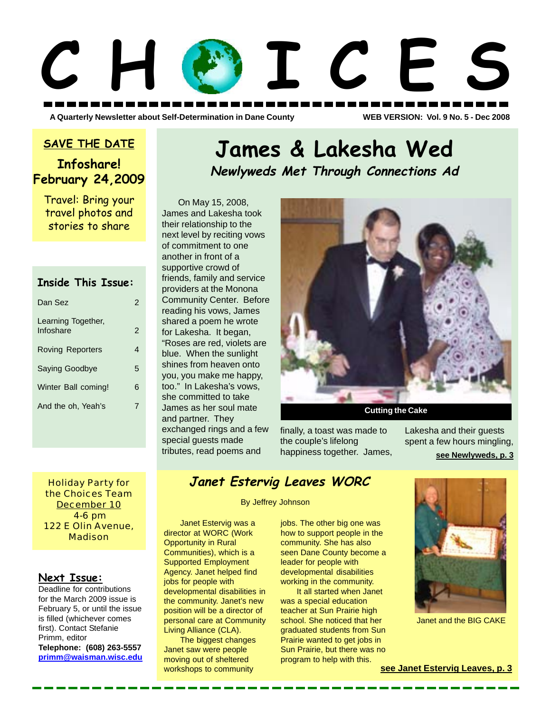# **C H O I C E S**

**A Quarterly Newsletter about Self-Determination in Dane County WEB VERSION: Vol. 9 No. 5 - Dec 2008**

### **SAVE THE DATE**

# **Infoshare! February 24,2009**

Travel: Bring your travel photos and stories to share

### **Inside This Issue:**

| Dan Sez                         | 2             |
|---------------------------------|---------------|
| Learning Together,<br>Infoshare | $\mathcal{P}$ |
| <b>Roving Reporters</b>         |               |
| <b>Saying Goodbye</b>           | 5             |
| Winter Ball coming!             | 6             |
| And the oh, Yeah's              |               |
|                                 |               |

On May 15, 2008, James and Lakesha took their relationship to the next level by reciting vows of commitment to one another in front of a supportive crowd of friends, family and service providers at the Monona Community Center. Before reading his vows, James shared a poem he wrote for Lakesha. It began, "Roses are red, violets are blue. When the sunlight shines from heaven onto you, you make me happy, too." In Lakesha's vows, she committed to take James as her soul mate and partner. They exchanged rings and a few special guests made tributes, read poems and



finally, a toast was made to the couple's lifelong

**James & Lakesha Wed**

**Newlyweds Met Through Connections Ad**

happiness together. James, **see Newlyweds, p. 3** Lakesha and their guests spent a few hours mingling,

Holiday Party for the Choices Team December 10 4-6 pm 122 E Olin Avenue, Madison

### **Next Issue:**

Deadline for contributions for the March 2009 issue is February 5, or until the issue is filled (whichever comes first). Contact Stefanie Primm, editor **Telephone: (608) 263-5557 primm@waisman.wisc.edu**

# **Janet Estervig Leaves WORC**

By Jeffrey Johnson

Janet Estervig was a director at WORC (Work Opportunity in Rural Communities), which is a Supported Employment Agency. Janet helped find jobs for people with developmental disabilities in the community. Janet's new position will be a director of personal care at Community Living Alliance (CLA).

The biggest changes Janet saw were people moving out of sheltered workshops to community

### jobs. The other big one was how to support people in the community. She has also seen Dane County become a leader for people with developmental disabilities working in the community.

It all started when Janet was a special education teacher at Sun Prairie high school. She noticed that her graduated students from Sun Prairie wanted to get jobs in Sun Prairie, but there was no program to help with this.



Janet and the BIG CAKE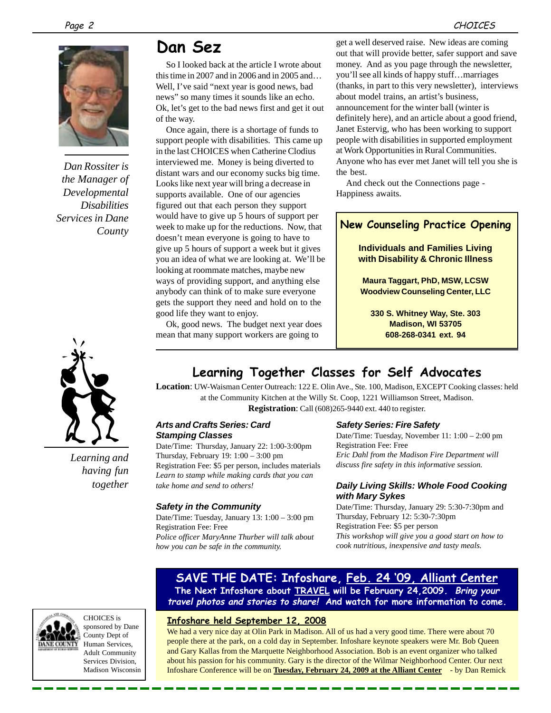

*Dan Rossiter is the Manager of Developmental Disabilities Services in Dane County*



*Learning and having fun together*

# **Dan Sez**

So I looked back at the article I wrote about this time in 2007 and in 2006 and in 2005 and… Well, I've said "next year is good news, bad news" so many times it sounds like an echo. Ok, let's get to the bad news first and get it out of the way.

Once again, there is a shortage of funds to support people with disabilities. This came up in the last CHOICES when Catherine Clodius interviewed me. Money is being diverted to distant wars and our economy sucks big time. Looks like next year will bring a decrease in supports available. One of our agencies figured out that each person they support would have to give up 5 hours of support per week to make up for the reductions. Now, that doesn't mean everyone is going to have to give up 5 hours of support a week but it gives you an idea of what we are looking at. We'll be looking at roommate matches, maybe new ways of providing support, and anything else anybody can think of to make sure everyone gets the support they need and hold on to the good life they want to enjoy.

Ok, good news. The budget next year does mean that many support workers are going to

get a well deserved raise. New ideas are coming out that will provide better, safer support and save money. And as you page through the newsletter, you'll see all kinds of happy stuff…marriages (thanks, in part to this very newsletter), interviews about model trains, an artist's business, announcement for the winter ball (winter is definitely here), and an article about a good friend, Janet Estervig, who has been working to support people with disabilities in supported employment at Work Opportunities in Rural Communities. Anyone who has ever met Janet will tell you she is the best.

And check out the Connections page - Happiness awaits.

### **New Counseling Practice Opening**

**Individuals and Families Living with Disability & Chronic Illness**

**Maura Taggart, PhD, MSW, LCSW Woodview Counseling Center, LLC**

**330 S. Whitney Way, Ste. 303 Madison, WI 53705 608-268-0341 ext. 94**

# **Learning Together Classes for Self Advocates**

**Location**: UW-Waisman Center Outreach: 122 E. Olin Ave., Ste. 100, Madison, EXCEPT Cooking classes: held at the Community Kitchen at the Willy St. Coop, 1221 Williamson Street, Madison. **Registration**: Call (608)265-9440 ext. 440 to register.

### *Arts and Crafts Series: Card Stamping Classes*

Date/Time: Thursday, January 22: 1:00-3:00pm Thursday, February 19: 1:00 – 3:00 pm Registration Fee: \$5 per person, includes materials *Learn to stamp while making cards that you can take home and send to others!*

### *Safety in the Community*

Date/Time: Tuesday, January 13: 1:00 – 3:00 pm Registration Fee: Free *Police officer MaryAnne Thurber will talk about how you can be safe in the community.*

### *Safety Series: Fire Safety*

Date/Time: Tuesday, November 11: 1:00 – 2:00 pm Registration Fee: Free *Eric Dahl from the Madison Fire Department will discuss fire safety in this informative session.*

### *Daily Living Skills: Whole Food Cooking with Mary Sykes*

Date/Time: Thursday, January 29: 5:30-7:30pm and Thursday, February 12: 5:30-7:30pm Registration Fee: \$5 per person *This workshop will give you a good start on how to cook nutritious, inexpensive and tasty meals.*

### **SAVE THE DATE: Infoshare, Feb. 24 '09, Alliant Center The Next Infoshare about TRAVEL will be February 24,2009. Bring your travel photos and stories to share! And watch for more information to come.**

### **Infoshare held September 12, 2008**

We had a very nice day at Olin Park in Madison. All of us had a very good time. There were about 70 people there at the park, on a cold day in September. Infoshare keynote speakers were Mr. Bob Queen and Gary Kallas from the Marquette Neighborhood Association. Bob is an event organizer who talked about his passion for his community. Gary is the director of the Wilmar Neighborhood Center. Our next Infoshare Conference will be on **Tuesday, February 24, 2009 at the Alliant Center** - by Dan Remick

CHOICES is

sponsored by Dane County Dept of Human Services, Adult Community Services Division, Madison Wisconsin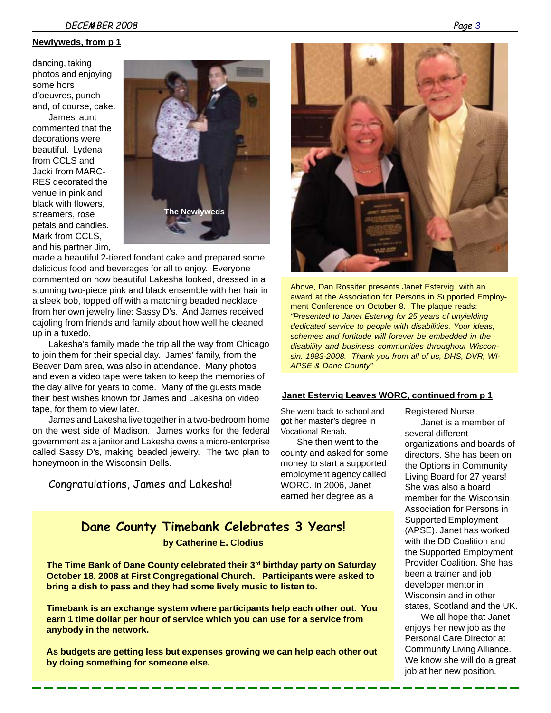**Newlyweds, from p 1**

dancing, taking photos and enjoying some hors d'oeuvres, punch and, of course, cake. James' aunt commented that the decorations were beautiful. Lydena from CCLS and Jacki from MARC-RES decorated the venue in pink and black with flowers, streamers, rose petals and candles. Mark from CCLS, and his partner Jim,



made a beautiful 2-tiered fondant cake and prepared some delicious food and beverages for all to enjoy. Everyone commented on how beautiful Lakesha looked, dressed in a stunning two-piece pink and black ensemble with her hair in a sleek bob, topped off with a matching beaded necklace from her own jewelry line: Sassy D's. And James received cajoling from friends and family about how well he cleaned up in a tuxedo.

Lakesha's family made the trip all the way from Chicago to join them for their special day. James' family, from the Beaver Dam area, was also in attendance. Many photos and even a video tape were taken to keep the memories of the day alive for years to come. Many of the guests made their best wishes known for James and Lakesha on video tape, for them to view later.

James and Lakesha live together in a two-bedroom home on the west side of Madison. James works for the federal government as a janitor and Lakesha owns a micro-enterprise called Sassy D's, making beaded jewelry. The two plan to honeymoon in the Wisconsin Dells.

Congratulations, James and Lakesha!

# **Dane County Timebank Celebrates 3 Years!**

**by Catherine E. Clodius**

**The Time Bank of Dane County celebrated their 3<sup>rd</sup> birthday party on Saturday October 18, 2008 at First Congregational Church. Participants were asked to bring a dish to pass and they had some lively music to listen to.**

**Timebank is an exchange system where participants help each other out. You earn 1 time dollar per hour of service which you can use for a service from anybody in the network.**

**As budgets are getting less but expenses growing we can help each other out by doing something for someone else.**



Above, Dan Rossiter presents Janet Estervig with an award at the Association for Persons in Supported Employment Conference on October 8. The plaque reads: *"Presented to Janet Estervig for 25 years of unyielding dedicated service to people with disabilities. Your ideas, schemes and fortitude will forever be embedded in the disability and business communities throughout Wisconsin. 1983-2008. Thank you from all of us, DHS, DVR, WI-APSE & Dane County"*

### **Janet Estervig Leaves WORC, continued from p 1**

She went back to school and got her master's degree in Vocational Rehab.

She then went to the county and asked for some money to start a supported employment agency called WORC. In 2006, Janet earned her degree as a

Registered Nurse. Janet is a member of several different organizations and boards of directors. She has been on the Options in Community Living Board for 27 years! She was also a board member for the Wisconsin Association for Persons in Supported Employment (APSE). Janet has worked with the DD Coalition and the Supported Employment Provider Coalition. She has been a trainer and job developer mentor in Wisconsin and in other states, Scotland and the UK.

We all hope that Janet enjoys her new job as the Personal Care Director at Community Living Alliance. We know she will do a great job at her new position.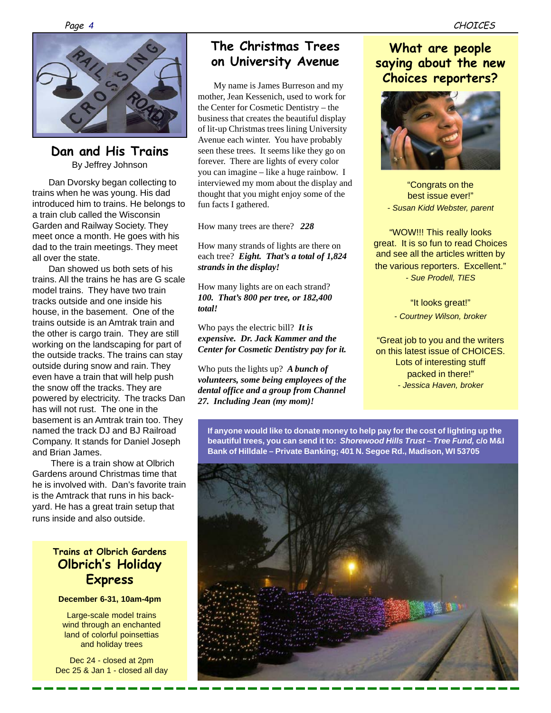

### **Dan and His Trains** By Jeffrey Johnson

Dan Dvorsky began collecting to trains when he was young. His dad introduced him to trains. He belongs to a train club called the Wisconsin Garden and Railway Society. They meet once a month. He goes with his dad to the train meetings. They meet all over the state.

Dan showed us both sets of his trains. All the trains he has are G scale model trains. They have two train tracks outside and one inside his house, in the basement. One of the trains outside is an Amtrak train and the other is cargo train. They are still working on the landscaping for part of the outside tracks. The trains can stay outside during snow and rain. They even have a train that will help push the snow off the tracks. They are powered by electricity. The tracks Dan has will not rust. The one in the basement is an Amtrak train too. They named the track DJ and BJ Railroad Company. It stands for Daniel Joseph and Brian James.

 There is a train show at Olbrich Gardens around Christmas time that he is involved with. Dan's favorite train is the Amtrack that runs in his backyard. He has a great train setup that runs inside and also outside.

## **Trains at Olbrich Gardens Olbrich's Holiday Express**

**December 6-31, 10am-4pm**

Large-scale model trains wind through an enchanted land of colorful poinsettias and holiday trees

Dec 24 - closed at 2pm Dec 25 & Jan 1 - closed all day

# **The Christmas Trees on University Avenue**

My name is James Burreson and my mother, Jean Kessenich, used to work for the Center for Cosmetic Dentistry – the business that creates the beautiful display of lit-up Christmas trees lining University Avenue each winter. You have probably seen these trees. It seems like they go on forever. There are lights of every color you can imagine – like a huge rainbow. I interviewed my mom about the display and thought that you might enjoy some of the fun facts I gathered.

How many trees are there? *228*

How many strands of lights are there on each tree? *Eight. That's a total of 1,824 strands in the display!*

How many lights are on each strand? *100. That's 800 per tree, or 182,400 total!*

Who pays the electric bill? *It is expensive. Dr. Jack Kammer and the Center for Cosmetic Dentistry pay for it.*

Who puts the lights up? *A bunch of volunteers, some being employees of the dental office and a group from Channel 27. Including Jean (my mom)!*

# **What are people saying about the new Choices reporters?**



"Congrats on the best issue ever!" *- Susan Kidd Webster, parent*

"WOW!!! This really looks great. It is so fun to read Choices and see all the articles written by the various reporters. Excellent." *- Sue Prodell, TIES*

> "It looks great!" *- Courtney Wilson, broker*

"Great job to you and the writers on this latest issue of CHOICES. Lots of interesting stuff packed in there!" *- Jessica Haven, broker*

**If anyone would like to donate money to help pay for the cost of lighting up the beautiful trees, you can send it to:** *Shorewood Hills Trust – Tree Fund,* **c/o M&I Bank of Hilldale – Private Banking; 401 N. Segoe Rd., Madison, WI 53705**

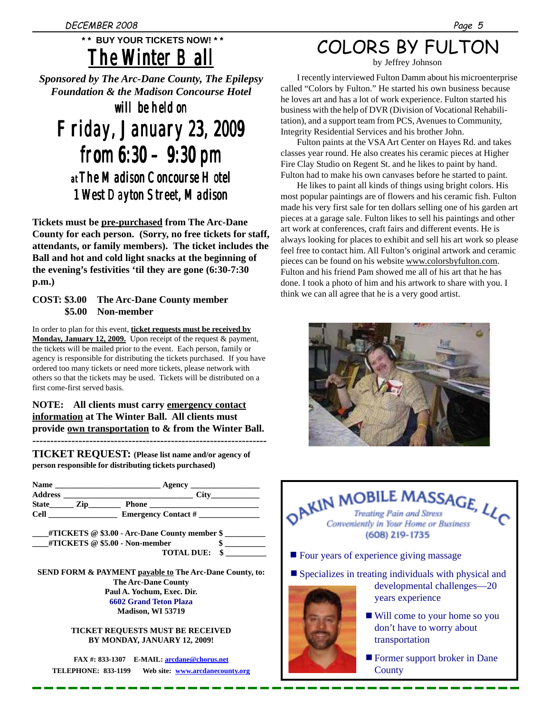# *The Winter Ball Ball The*  **\* \* BUY YOUR TICKETS NOW! \* \***

*Sponsored by The Arc-Dane County, The Epilepsy Foundation & the Madison Concourse Hotel*

*will be held on be Friday, January 23, 2009 January 23, 2009Friday, from 6:30 – 9:30 pm from 6:30 – pm at The Madison Concourse Hotel The Concourse Madison 1 West Dayton Street, Madison 1 West Dayton Madison*

**Tickets must be pre-purchased from The Arc-Dane County for each person. (Sorry, no free tickets for staff, attendants, or family members). The ticket includes the Ball and hot and cold light snacks at the beginning of the evening's festivities 'til they are gone (6:30-7:30 p.m.)**

### **COST: \$3.00 The Arc-Dane County member \$5.00 Non-member**

In order to plan for this event, **ticket requests must be received by Monday, January 12, 2009.** Upon receipt of the request & payment, the tickets will be mailed prior to the event. Each person, family or agency is responsible for distributing the tickets purchased. If you have ordered too many tickets or need more tickets, please network with others so that the tickets may be used. Tickets will be distributed on a first come-first served basis.

### **NOTE: All clients must carry emergency contact information at The Winter Ball. All clients must provide own transportation to & from the Winter Ball. ------------------------------------------------------------------**

**TICKET REQUEST: (Please list name and/or agency of person responsible for distributing tickets purchased)**

| <b>Name</b>    |      | Agency                     |  |
|----------------|------|----------------------------|--|
| <b>Address</b> |      | <b>City</b>                |  |
| <b>State</b>   | Lip. | Phone                      |  |
| <b>Cell</b>    |      | <b>Emergency Contact #</b> |  |

**\_\_\_\_#TICKETS @ \$3.00 - Arc-Dane County member \$ \_\_\_\_\_\_\_\_\_\_ \_\_\_\_#TICKETS @ \$5.00 - Non-member \$ \_\_\_\_\_\_\_\_\_\_ TOTAL DUE: \$ \_\_\_\_\_\_\_\_\_\_**

**SEND FORM & PAYMENT payable to The Arc-Dane County, to: The Arc-Dane County Paul A. Yochum, Exec. Dir. 6602 Grand Teton Plaza Madison, WI 53719**

> **TICKET REQUESTS MUST BE RECEIVED BY MONDAY, JANUARY 12, 2009!**

**FAX #: 833-1307 E-MAIL: arcdane@chorus.net TELEPHONE: 833-1199 Web site: www.arcdanecounty.org**

# COLORS BY FULTON

by Jeffrey Johnson

I recently interviewed Fulton Damm about his microenterprise called "Colors by Fulton." He started his own business because he loves art and has a lot of work experience. Fulton started his business with the help of DVR (Division of Vocational Rehabilitation), and a support team from PCS, Avenues to Community, Integrity Residential Services and his brother John.

Fulton paints at the VSA Art Center on Hayes Rd. and takes classes year round. He also creates his ceramic pieces at Higher Fire Clay Studio on Regent St. and he likes to paint by hand. Fulton had to make his own canvases before he started to paint.

He likes to paint all kinds of things using bright colors. His most popular paintings are of flowers and his ceramic fish. Fulton made his very first sale for ten dollars selling one of his garden art pieces at a garage sale. Fulton likes to sell his paintings and other art work at conferences, craft fairs and different events. He is always looking for places to exhibit and sell his art work so please feel free to contact him. All Fulton's original artwork and ceramic pieces can be found on his website www.colorsbyfulton.com. Fulton and his friend Pam showed me all of his art that he has done. I took a photo of him and his artwork to share with you. I think we can all agree that he is a very good artist.